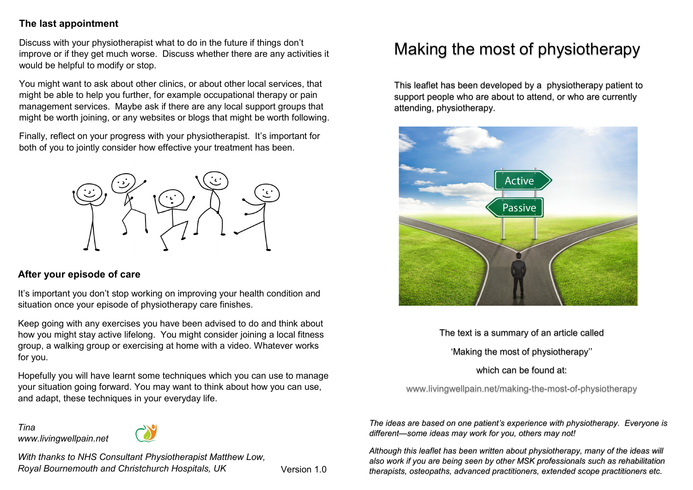#### **The last appointment**

Discuss with your physiotherapist what to do in the future if things don't improve or if they get much worse. Discuss whether there are any activities it would be helpful to modify or stop.

You might want to ask about other clinics, or about other local services, that might be able to help you further, for example occupational therapy or pain management services. Maybe ask if there are any local support groups that might be worth joining, or any websites or blogs that might be worth following.

Finally, reflect on your progress with your physiotherapist. It's important for both of you to jointly consider how effective your treatment has been.



#### **After your episode of care**

It's important you don't stop working on improving your health condition and situation once your episode of physiotherapy care finishes.

Keep going with any exercises you have been advised to do and think about how you might stay active lifelong. You might consider joining a local fitness group, a walking group or exercising at home with a video. Whatever works for you.

Hopefully you will have learnt some techniques which you can use to manage your situation going forward. You may want to think about how you can use, and adapt, these techniques in your everyday life.

*Tina www.livingwellpain.net*



*With thanks to NHS Consultant Physiotherapist Matthew Low, Royal Bournemouth and Christchurch Hospitals, UK* Version 1.0

# Making the most of physiotherapy

This leaflet has been developed by a physiotherapy patient to support people who are about to attend, or who are currently attending, physiotherapy.



The text is a summary of an article called 'Making the most of physiotherapy''

#### which can be found at:

www.livingwellpain.net/making-the-most-of-physiotherapy

*The ideas are based on one patient's experience with physiotherapy. Everyone is different—some ideas may work for you, others may not!* 

*Although this leaflet has been written about physiotherapy, many of the ideas will also work if you are being seen by other MSK professionals such as rehabilitation therapists, osteopaths, advanced practitioners, extended scope practitioners etc.*